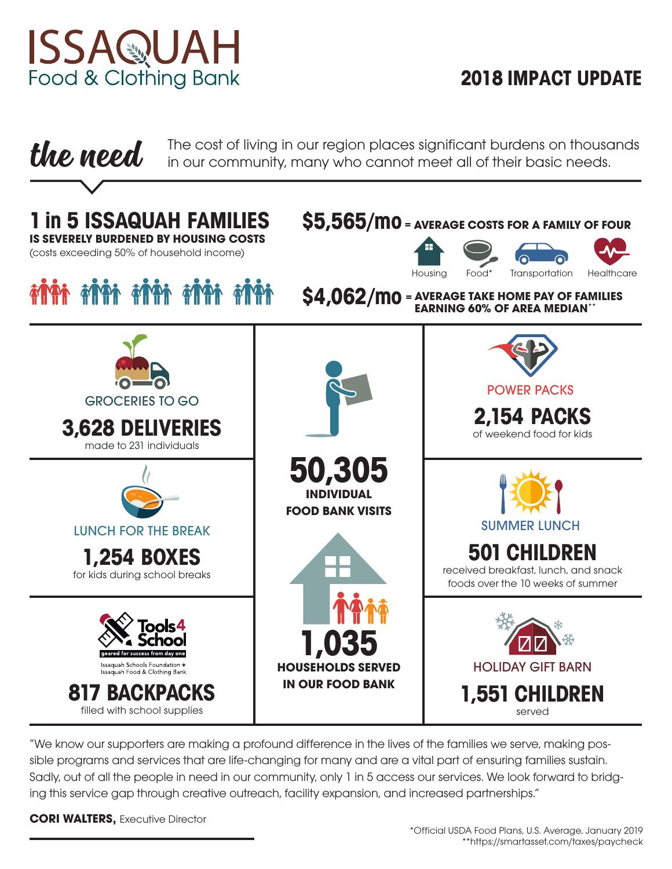

# **2018 IMPACT UPDATE**

**the need** The cost of living in our region places significant burdens on thousands in our community, many who cannot meet all of their basic needs.



"We know our supporters are making a profound difference in the lives of the families we serve, making possible programs and services that are life-changing for many and are a vital part of ensuring families sustain. Sadly, out of all the people in need in our community, only 1 in 5 access our services. We look forward to bridging this service gap through creative outreach, facility expansion, and increased partnerships."

**CORI WALTERS, Executive Director**